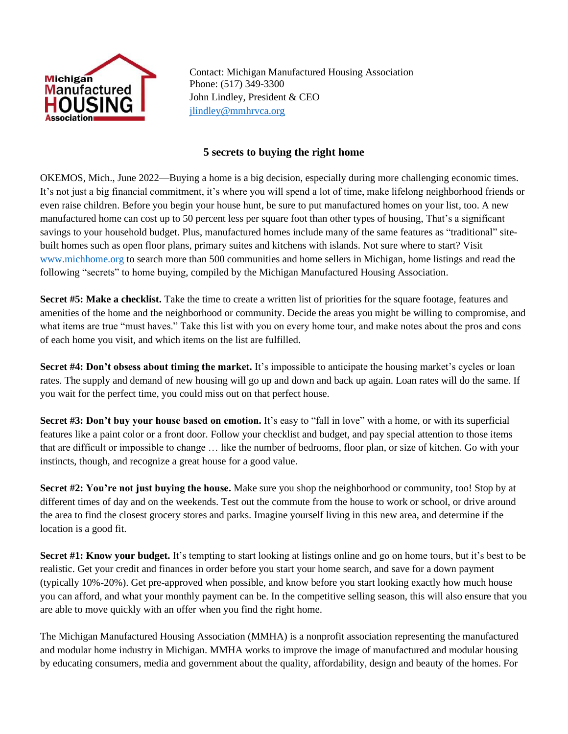

Contact: Michigan Manufactured Housing Association Phone: (517) 349-3300 John Lindley, President & CEO [jlindley@mmhrvca.org](mailto:jlindley@mmhrvca.org) 

## **5 secrets to buying the right home**

OKEMOS, Mich., June 2022—Buying a home is a big decision, especially during more challenging economic times. It's not just a big financial commitment, it's where you will spend a lot of time, make lifelong neighborhood friends or even raise children. Before you begin your house hunt, be sure to put manufactured homes on your list, too. A new manufactured home can cost up to 50 percent less per square foot than other types of housing, That's a significant savings to your household budget. Plus, manufactured homes include many of the same features as "traditional" sitebuilt homes such as open floor plans, primary suites and kitchens with islands. Not sure where to start? Visit [www.michhome.org](http://www.michhome.org/) to search more than 500 communities and home sellers in Michigan, home listings and read the following "secrets" to home buying, compiled by the Michigan Manufactured Housing Association.

**Secret #5: Make a checklist.** Take the time to create a written list of priorities for the square footage, features and amenities of the home and the neighborhood or community. Decide the areas you might be willing to compromise, and what items are true "must haves." Take this list with you on every home tour, and make notes about the pros and cons of each home you visit, and which items on the list are fulfilled.

**Secret #4: Don't obsess about timing the market.** It's impossible to anticipate the housing market's cycles or loan rates. The supply and demand of new housing will go up and down and back up again. Loan rates will do the same. If you wait for the perfect time, you could miss out on that perfect house.

**Secret #3: Don't buy your house based on emotion.** It's easy to "fall in love" with a home, or with its superficial features like a paint color or a front door. Follow your checklist and budget, and pay special attention to those items that are difficult or impossible to change … like the number of bedrooms, floor plan, or size of kitchen. Go with your instincts, though, and recognize a great house for a good value.

**Secret #2: You're not just buying the house.** Make sure you shop the neighborhood or community, too! Stop by at different times of day and on the weekends. Test out the commute from the house to work or school, or drive around the area to find the closest grocery stores and parks. Imagine yourself living in this new area, and determine if the location is a good fit.

**Secret #1: Know your budget.** It's tempting to start looking at listings online and go on home tours, but it's best to be realistic. Get your credit and finances in order before you start your home search, and save for a down payment (typically 10%-20%). Get pre-approved when possible, and know before you start looking exactly how much house you can afford, and what your monthly payment can be. In the competitive selling season, this will also ensure that you are able to move quickly with an offer when you find the right home.

The Michigan Manufactured Housing Association (MMHA) is a nonprofit association representing the manufactured and modular home industry in Michigan. MMHA works to improve the image of manufactured and modular housing by educating consumers, media and government about the quality, affordability, design and beauty of the homes. For